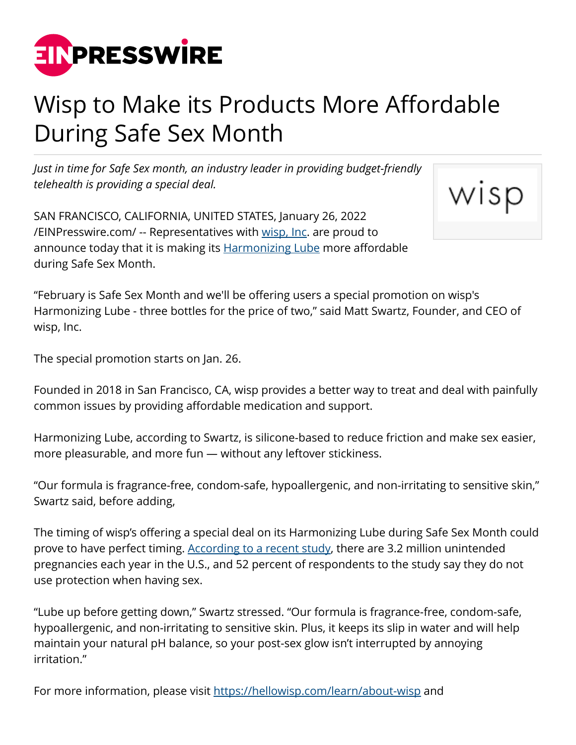

## Wisp to Make its Products More Affordable During Safe Sex Month

*Just in time for Safe Sex month, an industry leader in providing budget-friendly telehealth is providing a special deal.*

SAN FRANCISCO, CALIFORNIA, UNITED STATES, January 26, 2022 [/EINPresswire.com/](http://www.einpresswire.com) -- Representatives with [wisp, Inc](https://hellowisp.com/). are proud to announce today that it is making its **[Harmonizing Lube](https://hellowisp.com/products/harmonizing-lube) more affordable** during Safe Sex Month.



"February is Safe Sex Month and we'll be offering users a special promotion on wisp's Harmonizing Lube - three bottles for the price of two," said Matt Swartz, Founder, and CEO of wisp, Inc.

The special promotion starts on Jan. 26.

Founded in 2018 in San Francisco, CA, wisp provides a better way to treat and deal with painfully common issues by providing affordable medication and support.

Harmonizing Lube, according to Swartz, is silicone-based to reduce friction and make sex easier, more pleasurable, and more fun — without any leftover stickiness.

"Our formula is fragrance-free, condom-safe, hypoallergenic, and non-irritating to sensitive skin," Swartz said, before adding,

The timing of wisp's offering a special deal on its Harmonizing Lube during Safe Sex Month could prove to have perfect timing. [According to a recent study,](https://www.today.com/parents/survey-unprotected-sex-common-among-teens-wbna27706917) there are 3.2 million unintended pregnancies each year in the U.S., and 52 percent of respondents to the study say they do not use protection when having sex.

"Lube up before getting down," Swartz stressed. "Our formula is fragrance-free, condom-safe, hypoallergenic, and non-irritating to sensitive skin. Plus, it keeps its slip in water and will help maintain your natural pH balance, so your post-sex glow isn't interrupted by annoying irritation."

For more information, please visit<https://hellowisp.com/learn/about-wisp>and